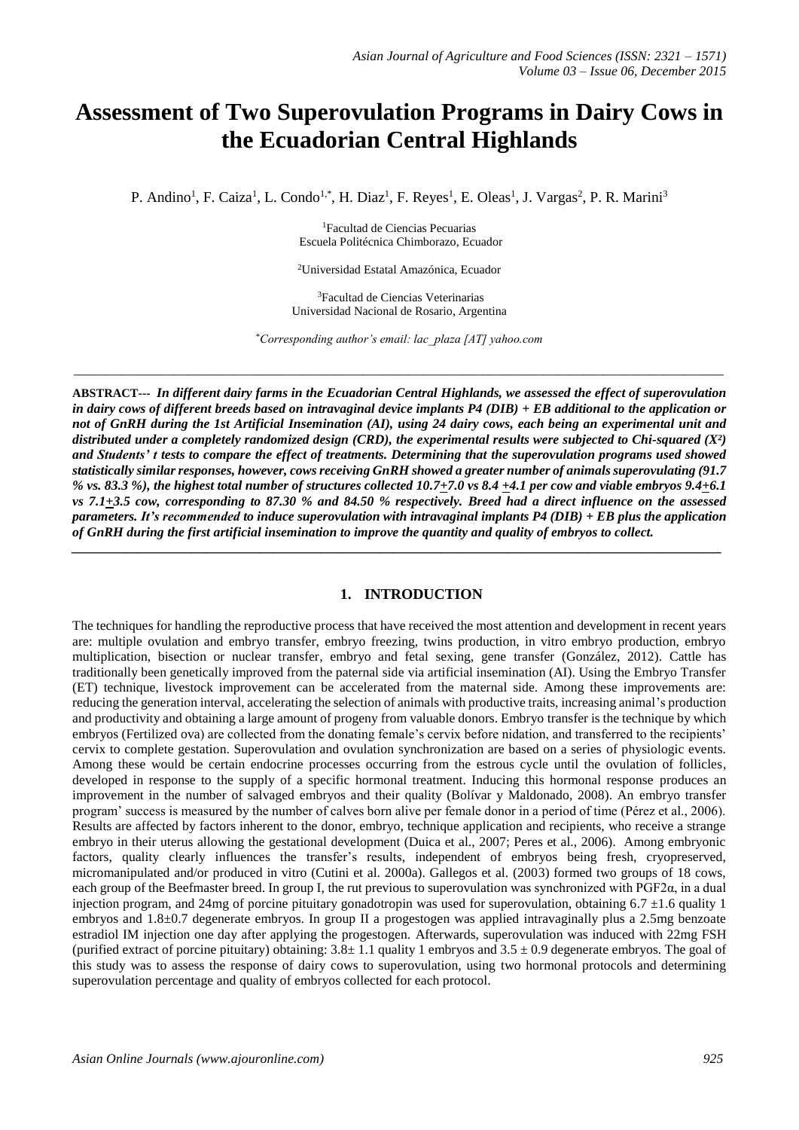# **Assessment of Two Superovulation Programs in Dairy Cows in the Ecuadorian Central Highlands**

P. Andino<sup>1</sup>, F. Caiza<sup>1</sup>, L. Condo<sup>1,\*</sup>, H. Diaz<sup>1</sup>, F. Reyes<sup>1</sup>, E. Oleas<sup>1</sup>, J. Vargas<sup>2</sup>, P. R. Marini<sup>3</sup>

<sup>1</sup>Facultad de Ciencias Pecuarias Escuela Politécnica Chimborazo, Ecuador

<sup>2</sup>Universidad Estatal Amazónica, Ecuador

<sup>3</sup>Facultad de Ciencias Veterinarias Universidad Nacional de Rosario, Argentina

\**Corresponding author's email: lac\_plaza [AT] yahoo.com*

\_\_\_\_\_\_\_\_\_\_\_\_\_\_\_\_\_\_\_\_\_\_\_\_\_\_\_\_\_\_\_\_\_\_\_\_\_\_\_\_\_\_\_\_\_\_\_\_\_\_\_\_\_\_\_\_\_\_\_\_\_\_\_\_\_\_\_\_\_\_\_\_\_\_\_\_\_\_\_\_\_\_\_\_\_\_\_\_\_\_\_\_\_\_\_\_\_

**ABSTRACT---** *In different dairy farms in the Ecuadorian Central Highlands, we assessed the effect of superovulation in dairy cows of different breeds based on intravaginal device implants P4 (DIB) + EB additional to the application or not of GnRH during the 1st Artificial Insemination (AI), using 24 dairy cows, each being an experimental unit and distributed under a completely randomized design (CRD), the experimental results were subjected to Chi-squared (X²) and Students' t tests to compare the effect of treatments. Determining that the superovulation programs used showed statistically similar responses, however, cows receiving GnRH showed a greater number of animals superovulating (91.7 % vs. 83.3 %), the highest total number of structures collected 10.7+7.0 vs 8.4 +4.1 per cow and viable embryos 9.4+6.1 vs 7.1+3.5 cow, corresponding to 87.30 % and 84.50 % respectively. Breed had a direct influence on the assessed parameters. It's recommended to induce superovulation with intravaginal implants P4 (DIB) + EB plus the application of GnRH during the first artificial insemination to improve the quantity and quality of embryos to collect.*

*\_\_\_\_\_\_\_\_\_\_\_\_\_\_\_\_\_\_\_\_\_\_\_\_\_\_\_\_\_\_\_\_\_\_\_\_\_\_\_\_\_\_\_\_\_\_\_\_\_\_\_\_\_\_\_\_\_\_\_\_\_\_\_\_\_\_\_\_\_\_\_\_\_\_\_\_\_\_\_\_\_\_\_\_\_\_\_\_\_\_\_\_\_\_\_\_\_*

#### **1. INTRODUCTION**

The techniques for handling the reproductive process that have received the most attention and development in recent years are: multiple ovulation and embryo transfer, embryo freezing, twins production, in vitro embryo production, embryo multiplication, bisection or nuclear transfer, embryo and fetal sexing, gene transfer (González, 2012). Cattle has traditionally been genetically improved from the paternal side via artificial insemination (AI). Using the Embryo Transfer (ET) technique, livestock improvement can be accelerated from the maternal side. Among these improvements are: reducing the generation interval, accelerating the selection of animals with productive traits, increasing animal's production and productivity and obtaining a large amount of progeny from valuable donors. Embryo transfer is the technique by which embryos (Fertilized ova) are collected from the donating female's cervix before nidation, and transferred to the recipients' cervix to complete gestation. Superovulation and ovulation synchronization are based on a series of physiologic events. Among these would be certain endocrine processes occurring from the estrous cycle until the ovulation of follicles, developed in response to the supply of a specific hormonal treatment. Inducing this hormonal response produces an improvement in the number of salvaged embryos and their quality (Bolívar y Maldonado, 2008). An embryo transfer program' success is measured by the number of calves born alive per female donor in a period of time (Pérez et al., 2006). Results are affected by factors inherent to the donor, embryo, technique application and recipients, who receive a strange embryo in their uterus allowing the gestational development (Duica et al., 2007; Peres et al., 2006). Among embryonic factors, quality clearly influences the transfer's results, independent of embryos being fresh, cryopreserved, micromanipulated and/or produced in vitro (Cutini et al. 2000a). Gallegos et al. (2003) formed two groups of 18 cows, each group of the Beefmaster breed. In group I, the rut previous to superovulation was synchronized with PGF2α, in a dual injection program, and 24mg of porcine pituitary gonadotropin was used for superovulation, obtaining 6.7 ±1.6 quality 1 embryos and 1.8±0.7 degenerate embryos. In group II a progestogen was applied intravaginally plus a 2.5mg benzoate estradiol IM injection one day after applying the progestogen. Afterwards, superovulation was induced with 22mg FSH (purified extract of porcine pituitary) obtaining:  $3.8 \pm 1.1$  quality 1 embryos and  $3.5 \pm 0.9$  degenerate embryos. The goal of this study was to assess the response of dairy cows to superovulation, using two hormonal protocols and determining superovulation percentage and quality of embryos collected for each protocol.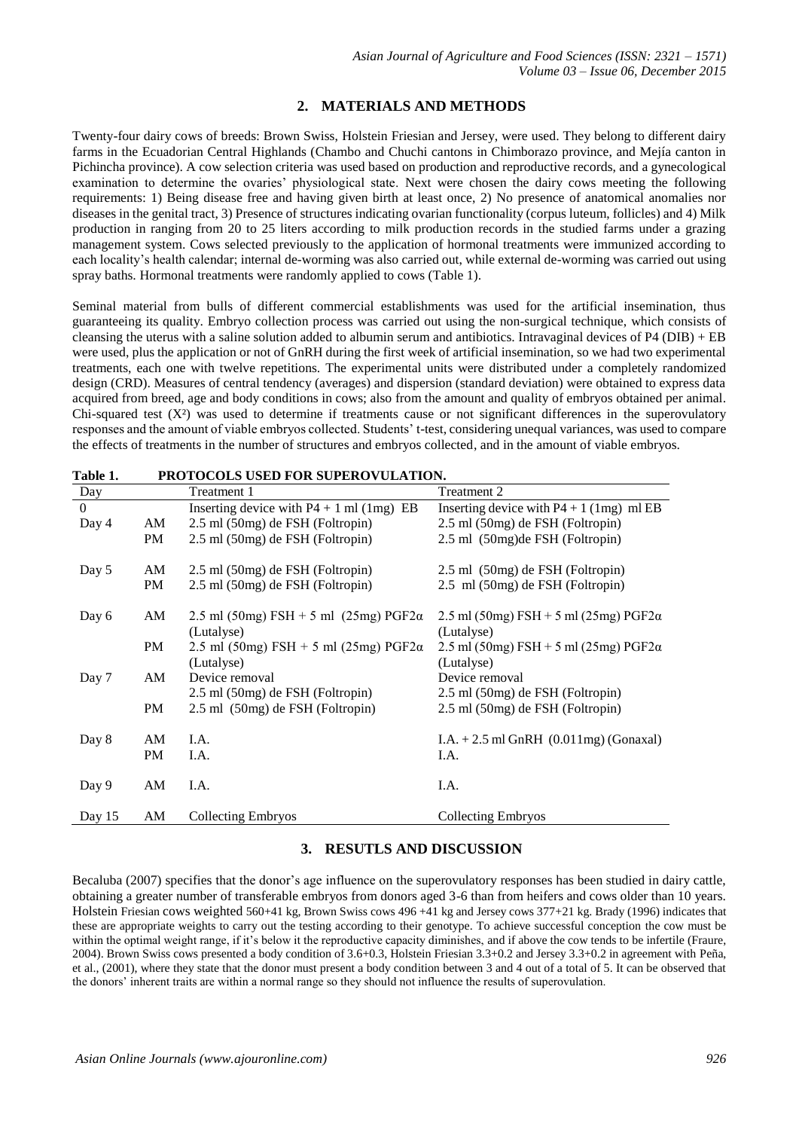# **2. MATERIALS AND METHODS**

Twenty-four dairy cows of breeds: Brown Swiss, Holstein Friesian and Jersey, were used. They belong to different dairy farms in the Ecuadorian Central Highlands (Chambo and Chuchi cantons in Chimborazo province, and Mejía canton in Pichincha province). A cow selection criteria was used based on production and reproductive records, and a gynecological examination to determine the ovaries' physiological state. Next were chosen the dairy cows meeting the following requirements: 1) Being disease free and having given birth at least once, 2) No presence of anatomical anomalies nor diseases in the genital tract, 3) Presence of structures indicating ovarian functionality (corpus luteum, follicles) and 4) Milk production in ranging from 20 to 25 liters according to milk production records in the studied farms under a grazing management system. Cows selected previously to the application of hormonal treatments were immunized according to each locality's health calendar; internal de-worming was also carried out, while external de-worming was carried out using spray baths. Hormonal treatments were randomly applied to cows (Table 1).

Seminal material from bulls of different commercial establishments was used for the artificial insemination, thus guaranteeing its quality. Embryo collection process was carried out using the non-surgical technique, which consists of cleansing the uterus with a saline solution added to albumin serum and antibiotics. Intravaginal devices of P4 (DIB) + EB were used, plus the application or not of GnRH during the first week of artificial insemination, so we had two experimental treatments, each one with twelve repetitions. The experimental units were distributed under a completely randomized design (CRD). Measures of central tendency (averages) and dispersion (standard deviation) were obtained to express data acquired from breed, age and body conditions in cows; also from the amount and quality of embryos obtained per animal. Chi-squared test  $(X^2)$  was used to determine if treatments cause or not significant differences in the superovulatory responses and the amount of viable embryos collected. Students' t-test, considering unequal variances, was used to compare the effects of treatments in the number of structures and embryos collected, and in the amount of viable embryos.

| Day      |           | Treatment 1                                   | Treatment 2                                   |
|----------|-----------|-----------------------------------------------|-----------------------------------------------|
| $\Omega$ |           | Inserting device with $P4 + 1$ ml (1mg) EB    | Inserting device with $P4 + 1$ (1mg) ml EB    |
| Day 4    | AM        | 2.5 ml (50mg) de FSH (Foltropin)              | 2.5 ml (50mg) de FSH (Foltropin)              |
|          | PM        | 2.5 ml (50mg) de FSH (Foltropin)              | 2.5 ml (50mg) de FSH (Foltropin)              |
| Day 5    | AM        | 2.5 ml (50mg) de FSH (Foltropin)              | 2.5 ml (50mg) de FSH (Foltropin)              |
|          |           |                                               |                                               |
|          | PM        | 2.5 ml (50mg) de FSH (Foltropin)              | 2.5 ml (50mg) de FSH (Foltropin)              |
| Day 6    | AM        | 2.5 ml (50mg) FSH + 5 ml (25mg) PGF2 $\alpha$ | 2.5 ml (50mg) FSH + 5 ml (25mg) PGF2 $\alpha$ |
|          |           | (Lutalyse)                                    | (Lutalyse)                                    |
|          | PM        | 2.5 ml (50mg) FSH + 5 ml (25mg) PGF2 $\alpha$ | 2.5 ml (50mg) FSH + 5 ml (25mg) PGF2 $\alpha$ |
|          |           | (Lutalyse)                                    | (Lutalyse)                                    |
| Day 7    | AM        | Device removal                                | Device removal                                |
|          |           | 2.5 ml (50mg) de FSH (Foltropin)              | 2.5 ml (50mg) de FSH (Foltropin)              |
|          | PM        | 2.5 ml (50mg) de FSH (Foltropin)              | 2.5 ml (50mg) de FSH (Foltropin)              |
|          | AM        | I.A.                                          |                                               |
| Day 8    |           |                                               | I.A. $+ 2.5$ ml GnRH $(0.011mg)$ (Gonaxal)    |
|          | <b>PM</b> | I.A.                                          | I.A.                                          |
| Day 9    | AM        | I.A.                                          | I.A.                                          |
|          |           |                                               |                                               |
| Day 15   | AM        | <b>Collecting Embryos</b>                     | <b>Collecting Embryos</b>                     |

**Table 1. PROTOCOLS USED FOR SUPEROVULATION.** 

# **3. RESUTLS AND DISCUSSION**

Becaluba (2007) specifies that the donor's age influence on the superovulatory responses has been studied in dairy cattle, obtaining a greater number of transferable embryos from donors aged 3-6 than from heifers and cows older than 10 years. Holstein Friesian cows weighted 560+41 kg, Brown Swiss cows 496 +41 kg and Jersey cows 377+21 kg. Brady (1996) indicates that these are appropriate weights to carry out the testing according to their genotype. To achieve successful conception the cow must be within the optimal weight range, if it's below it the reproductive capacity diminishes, and if above the cow tends to be infertile (Fraure, 2004). Brown Swiss cows presented a body condition of 3.6+0.3, Holstein Friesian 3.3+0.2 and Jersey 3.3+0.2 in agreement with Peña, et al., (2001), where they state that the donor must present a body condition between 3 and 4 out of a total of 5. It can be observed that the donors' inherent traits are within a normal range so they should not influence the results of superovulation.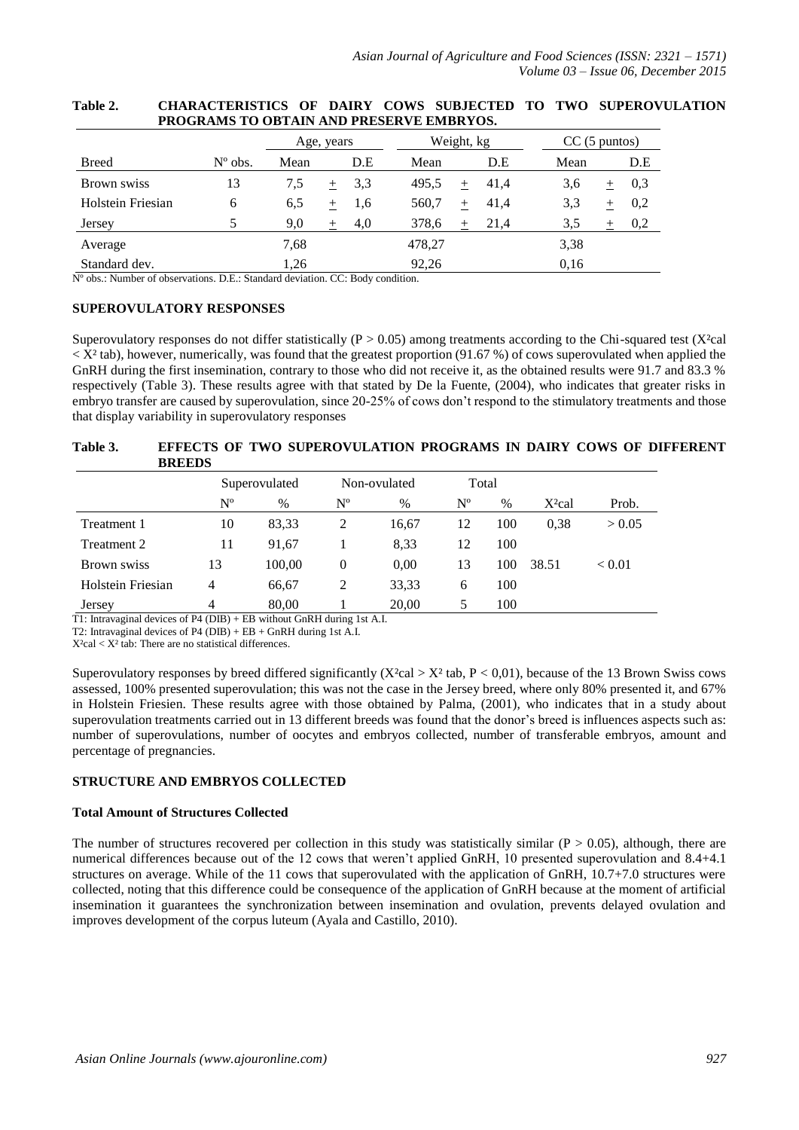|                   |                  |      | Age, years    | Weight, kg        | $CC(5 \text{ puntos})$       |
|-------------------|------------------|------|---------------|-------------------|------------------------------|
| <b>Breed</b>      | $N^{\circ}$ obs. | Mean | D.E           | Mean              | Mean<br>D.E<br>D.E           |
| Brown swiss       | 13               | 7,5  | 3.3<br>$^{+}$ | 495.5<br>$+ 41,4$ | 3,6<br>0,3<br>$^+$           |
| Holstein Friesian | 6                | 6,5  | 1,6<br>$^{+}$ | 560,7<br>$^{+}$   | 3.3<br>41,4<br>0,2<br>$^{+}$ |
| Jersey            |                  | 9,0  | 4,0<br>$+$    | 378,6<br>$+$      | 21.4<br>3.5<br>0,2<br>$^{+}$ |
| Average           |                  | 7,68 |               | 478,27            | 3.38                         |
| Standard dev.     |                  | 1,26 |               | 92,26             | 0.16                         |

#### **Table 2. CHARACTERISTICS OF DAIRY COWS SUBJECTED TO TWO SUPEROVULATION PROGRAMS TO OBTAIN AND PRESERVE EMBRYOS.**

Nº obs.: Number of observations. D.E.: Standard deviation. CC: Body condition.

## **SUPEROVULATORY RESPONSES**

Superovulatory responses do not differ statistically ( $P > 0.05$ ) among treatments according to the Chi-squared test (X<sup>2</sup>cal  $\langle X^2 \rangle$  tab), however, numerically, was found that the greatest proportion (91.67 %) of cows superovulated when applied the GnRH during the first insemination, contrary to those who did not receive it, as the obtained results were 91.7 and 83.3 % respectively (Table 3). These results agree with that stated by De la Fuente, (2004), who indicates that greater risks in embryo transfer are caused by superovulation, since 20-25% of cows don't respond to the stimulatory treatments and those that display variability in superovulatory responses

## **Table 3. EFFECTS OF TWO SUPEROVULATION PROGRAMS IN DAIRY COWS OF DIFFERENT BREEDS**

|                   | Superovulated |        | Non-ovulated   |       | Total       |      |                    |               |
|-------------------|---------------|--------|----------------|-------|-------------|------|--------------------|---------------|
|                   | $N^{\rm o}$   | $\%$   | Nº             | $\%$  | $N^{\rm o}$ | $\%$ | X <sup>2</sup> cal | Prob.         |
| Treatment 1       | 10            | 83,33  | 2              | 16,67 | 12          | 100  | 0.38               | > 0.05        |
| Treatment 2       | 11            | 91.67  |                | 8.33  | 12          | 100  |                    |               |
| Brown swiss       | 13            | 100,00 | $\theta$       | 0,00  | 13          | 100  | 38.51              | ${}_{< 0.01}$ |
| Holstein Friesian | 4             | 66.67  | $\overline{c}$ | 33,33 | 6           | 100  |                    |               |
| Jersey            | 4             | 80.00  |                | 20.00 | 5           | 100  |                    |               |

T1: Intravaginal devices of P4 (DIB) + EB without GnRH during 1st A.I.

T2: Intravaginal devices of P4 (DIB) + EB + GnRH during 1st A.I.

 $X^2$ cal <  $X^2$  tab: There are no statistical differences.

Superovulatory responses by breed differed significantly  $(X<sup>2</sup>cal > X<sup>2</sup>$  tab,  $P < 0.01$ ), because of the 13 Brown Swiss cows assessed, 100% presented superovulation; this was not the case in the Jersey breed, where only 80% presented it, and 67% in Holstein Friesien. These results agree with those obtained by Palma, (2001), who indicates that in a study about superovulation treatments carried out in 13 different breeds was found that the donor's breed is influences aspects such as: number of superovulations, number of oocytes and embryos collected, number of transferable embryos, amount and percentage of pregnancies.

## **STRUCTURE AND EMBRYOS COLLECTED**

#### **Total Amount of Structures Collected**

The number of structures recovered per collection in this study was statistically similar ( $P > 0.05$ ), although, there are numerical differences because out of the 12 cows that weren't applied GnRH, 10 presented superovulation and 8.4+4.1 structures on average. While of the 11 cows that superovulated with the application of GnRH, 10.7+7.0 structures were collected, noting that this difference could be consequence of the application of GnRH because at the moment of artificial insemination it guarantees the synchronization between insemination and ovulation, prevents delayed ovulation and improves development of the corpus luteum (Ayala and Castillo, 2010).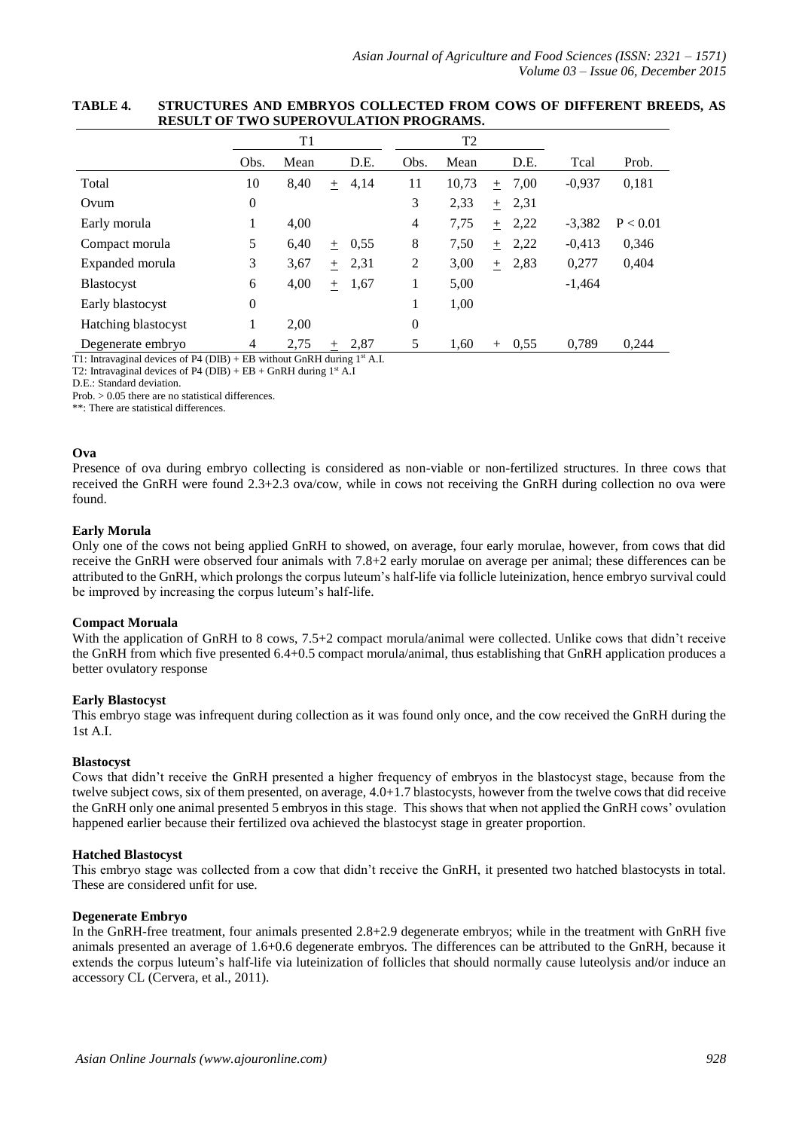|                     |                  | T1   |        |          |                  | T <sub>2</sub> |     |      |          |          |
|---------------------|------------------|------|--------|----------|------------------|----------------|-----|------|----------|----------|
|                     | Obs.             | Mean |        | D.E.     | Obs.             | Mean           |     | D.E. | Tcal     | Prob.    |
| Total               | 10               | 8,40 | $+$    | 4,14     | 11               | 10,73          | $+$ | 7,00 | $-0,937$ | 0,181    |
| Ovum                | $\boldsymbol{0}$ |      |        |          | 3                | 2,33           | $+$ | 2,31 |          |          |
| Early morula        | 1                | 4,00 |        |          | 4                | 7,75           | $+$ | 2,22 | $-3,382$ | P < 0.01 |
| Compact morula      | 5                | 6,40 |        | $+$ 0.55 | 8                | 7,50           | $+$ | 2,22 | $-0.413$ | 0,346    |
| Expanded morula     | 3                | 3,67 | $+$    | 2,31     | 2                | 3,00           | $+$ | 2,83 | 0,277    | 0,404    |
| <b>Blastocyst</b>   | 6                | 4,00 | $^{+}$ | 1,67     | 1                | 5,00           |     |      | $-1,464$ |          |
| Early blastocyst    | $\boldsymbol{0}$ |      |        |          | 1                | 1,00           |     |      |          |          |
| Hatching blastocyst | 1                | 2,00 |        |          | $\boldsymbol{0}$ |                |     |      |          |          |
| Degenerate embryo   | $\overline{4}$   | 2,75 | $^{+}$ | 2,87     | 5                | 1,60           | $+$ | 0.55 | 0.789    | 0.244    |

## **TABLE 4. STRUCTURES AND EMBRYOS COLLECTED FROM COWS OF DIFFERENT BREEDS, AS RESULT OF TWO SUPEROVULATION PROGRAMS.**

T1: Intravaginal devices of P4 (DIB) + EB without GnRH during  $1<sup>st</sup>$  A.I.

T2: Intravaginal devices of P4 (DIB) + EB + GnRH during  $1^{st}$  A.I

Prob. > 0.05 there are no statistical differences.

\*\*: There are statistical differences.

#### **Ova**

Presence of ova during embryo collecting is considered as non-viable or non-fertilized structures. In three cows that received the GnRH were found 2.3+2.3 ova/cow, while in cows not receiving the GnRH during collection no ova were found.

#### **Early Morula**

Only one of the cows not being applied GnRH to showed, on average, four early morulae, however, from cows that did receive the GnRH were observed four animals with 7.8+2 early morulae on average per animal; these differences can be attributed to the GnRH, which prolongs the corpus luteum's half-life via follicle luteinization, hence embryo survival could be improved by increasing the corpus luteum's half-life.

#### **Compact Moruala**

With the application of GnRH to 8 cows, 7.5+2 compact morula/animal were collected. Unlike cows that didn't receive the GnRH from which five presented 6.4+0.5 compact morula/animal, thus establishing that GnRH application produces a better ovulatory response

## **Early Blastocyst**

This embryo stage was infrequent during collection as it was found only once, and the cow received the GnRH during the 1st A.I.

## **Blastocyst**

Cows that didn't receive the GnRH presented a higher frequency of embryos in the blastocyst stage, because from the twelve subject cows, six of them presented, on average, 4.0+1.7 blastocysts, however from the twelve cows that did receive the GnRH only one animal presented 5 embryos in this stage. This shows that when not applied the GnRH cows' ovulation happened earlier because their fertilized ova achieved the blastocyst stage in greater proportion.

#### **Hatched Blastocyst**

This embryo stage was collected from a cow that didn't receive the GnRH, it presented two hatched blastocysts in total. These are considered unfit for use.

## **Degenerate Embryo**

In the GnRH-free treatment, four animals presented 2.8+2.9 degenerate embryos; while in the treatment with GnRH five animals presented an average of 1.6+0.6 degenerate embryos. The differences can be attributed to the GnRH, because it extends the corpus luteum's half-life via luteinization of follicles that should normally cause luteolysis and/or induce an accessory CL (Cervera, et al., 2011).

D.E.: Standard deviation.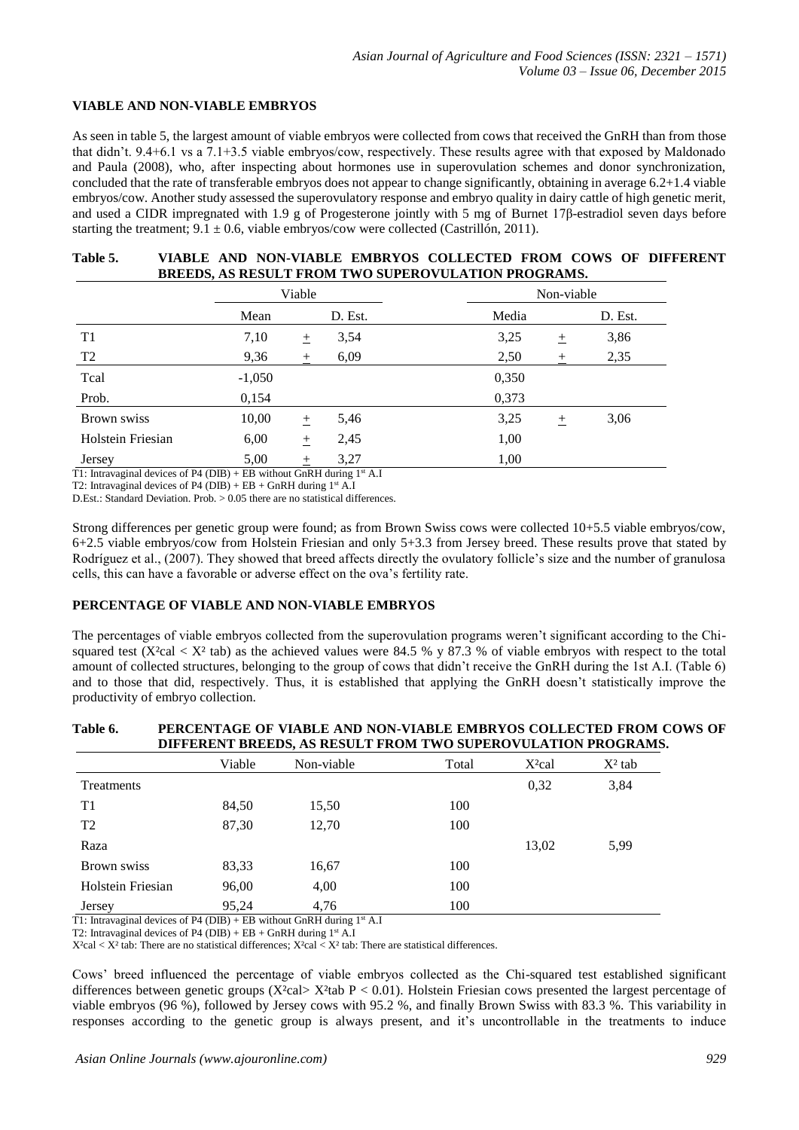## **VIABLE AND NON-VIABLE EMBRYOS**

As seen in table 5, the largest amount of viable embryos were collected from cows that received the GnRH than from those that didn't. 9.4+6.1 vs a 7.1+3.5 viable embryos/cow, respectively. These results agree with that exposed by Maldonado and Paula (2008), who, after inspecting about hormones use in superovulation schemes and donor synchronization, concluded that the rate of transferable embryos does not appear to change significantly, obtaining in average 6.2+1.4 viable embryos/cow. Another study assessed the superovulatory response and embryo quality in dairy cattle of high genetic merit, and used a CIDR impregnated with 1.9 g of Progesterone jointly with 5 mg of Burnet 17β-estradiol seven days before starting the treatment;  $9.1 \pm 0.6$ , viable embryos/cow were collected (Castrillón, 2011).

## **Table 5. VIABLE AND NON-VIABLE EMBRYOS COLLECTED FROM COWS OF DIFFERENT BREEDS, AS RESULT FROM TWO SUPEROVULATION PROGRAMS.**

|                   |          | Viable |         |       |      | Non-viable |         |  |  |
|-------------------|----------|--------|---------|-------|------|------------|---------|--|--|
|                   | Mean     |        | D. Est. | Media |      |            | D. Est. |  |  |
| T1                | 7,10     | $\pm$  | 3,54    | 3,25  |      | 土          | 3,86    |  |  |
| T <sub>2</sub>    | 9,36     | 土      | 6,09    | 2,50  |      | 土          | 2,35    |  |  |
| Tcal              | $-1,050$ |        |         | 0,350 |      |            |         |  |  |
| Prob.             | 0,154    |        |         | 0,373 |      |            |         |  |  |
| Brown swiss       | 10,00    | $^{+}$ | 5,46    | 3,25  |      | $^{+}$     | 3,06    |  |  |
| Holstein Friesian | 6,00     | $\pm$  | 2,45    |       | 1,00 |            |         |  |  |
| Jersey            | 5,00     | $^{+}$ | 3,27    |       | 1,00 |            |         |  |  |

T1: Intravaginal devices of P4 (DIB) + EB without GnRH during  $1<sup>st</sup>$  A.I

T2: Intravaginal devices of P4 (DIB) + EB + GnRH during  $1<sup>st</sup> A.I$ 

D.Est.: Standard Deviation. Prob. > 0.05 there are no statistical differences.

Strong differences per genetic group were found; as from Brown Swiss cows were collected 10+5.5 viable embryos/cow, 6+2.5 viable embryos/cow from Holstein Friesian and only 5+3.3 from Jersey breed. These results prove that stated by Rodríguez et al., (2007). They showed that breed affects directly the ovulatory follicle's size and the number of granulosa cells, this can have a favorable or adverse effect on the ova's fertility rate.

#### **PERCENTAGE OF VIABLE AND NON-VIABLE EMBRYOS**

The percentages of viable embryos collected from the superovulation programs weren't significant according to the Chisquared test (X<sup>2</sup>cal  $\lt X^2$  tab) as the achieved values were 84.5 % y 87.3 % of viable embryos with respect to the total amount of collected structures, belonging to the group of cows that didn't receive the GnRH during the 1st A.I. (Table 6) and to those that did, respectively. Thus, it is established that applying the GnRH doesn't statistically improve the productivity of embryo collection.

# **Table 6. PERCENTAGE OF VIABLE AND NON-VIABLE EMBRYOS COLLECTED FROM COWS OF DIFFERENT BREEDS, AS RESULT FROM TWO SUPEROVULATION PROGRAMS.**

|                   | Viable | Non-viable | Total | $X^2$ cal | $X^2$ tab |
|-------------------|--------|------------|-------|-----------|-----------|
| Treatments        |        |            |       | 0,32      | 3,84      |
| T1                | 84,50  | 15,50      | 100   |           |           |
| T2                | 87,30  | 12,70      | 100   |           |           |
| Raza              |        |            |       | 13,02     | 5,99      |
| Brown swiss       | 83,33  | 16,67      | 100   |           |           |
| Holstein Friesian | 96,00  | 4,00       | 100   |           |           |
| Jersey            | 95,24  | 4,76       | 100   |           |           |

T1: Intravaginal devices of P4 (DIB) + EB without GnRH during  $1<sup>st</sup>$  A.I

T2: Intravaginal devices of P4 (DIB) + EB + GnRH during  $1<sup>st</sup> A.I$ 

 $X^2$ cal <  $X^2$ tab: There are no statistical differences;  $X^2$ cal <  $X^2$ tab: There are statistical differences.

Cows' breed influenced the percentage of viable embryos collected as the Chi-squared test established significant differences between genetic groups (X<sup>2</sup>cal> X<sup>2</sup>tab P < 0.01). Holstein Friesian cows presented the largest percentage of viable embryos (96 %), followed by Jersey cows with 95.2 %, and finally Brown Swiss with 83.3 %. This variability in responses according to the genetic group is always present, and it's uncontrollable in the treatments to induce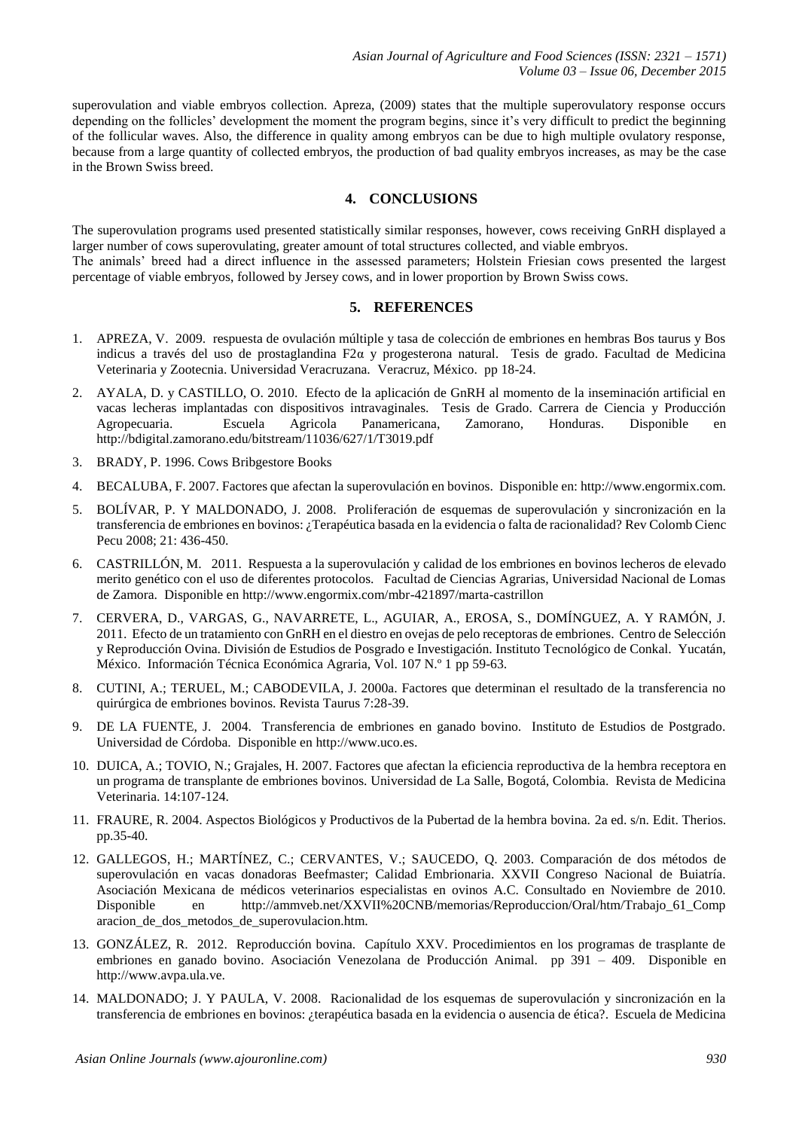superovulation and viable embryos collection. Apreza, (2009) states that the multiple superovulatory response occurs depending on the follicles' development the moment the program begins, since it's very difficult to predict the beginning of the follicular waves. Also, the difference in quality among embryos can be due to high multiple ovulatory response, because from a large quantity of collected embryos, the production of bad quality embryos increases, as may be the case in the Brown Swiss breed.

## **4. CONCLUSIONS**

The superovulation programs used presented statistically similar responses, however, cows receiving GnRH displayed a larger number of cows superovulating, greater amount of total structures collected, and viable embryos. The animals' breed had a direct influence in the assessed parameters; Holstein Friesian cows presented the largest percentage of viable embryos, followed by Jersey cows, and in lower proportion by Brown Swiss cows.

## **5. REFERENCES**

- 1. APREZA, V. 2009. respuesta de ovulación múltiple y tasa de colección de embriones en hembras Bos taurus y Bos indicus a través del uso de prostaglandina F2α y progesterona natural. Tesis de grado. Facultad de Medicina Veterinaria y Zootecnia. Universidad Veracruzana. Veracruz, México. pp 18-24.
- 2. AYALA, D. y CASTILLO, O. 2010. Efecto de la aplicación de GnRH al momento de la inseminación artificial en vacas lecheras implantadas con dispositivos intravaginales. Tesis de Grado. Carrera de Ciencia y Producción Agropecuaria. Escuela Agricola Panamericana, Zamorano, Honduras. Disponible en <http://bdigital.zamorano.edu/bitstream/11036/627/1/T3019.pdf>
- 3. BRADY, P. 1996. Cows Bribgestore Books
- 4. BECALUBA, F. 2007. Factores que afectan la superovulación en bovinos. Disponible en: http://www.engormix.com.
- 5. BOLÍVAR, P. Y MALDONADO, J. 2008. Proliferación de esquemas de superovulación y sincronización en la transferencia de embriones en bovinos: ¿Terapéutica basada en la evidencia o falta de racionalidad? Rev Colomb Cienc Pecu 2008; 21: 436-450.
- 6. CASTRILLÓN, M. 2011. Respuesta a la superovulación y calidad de los embriones en bovinos lecheros de elevado merito genético con el uso de diferentes protocolos. Facultad de Ciencias Agrarias, Universidad Nacional de Lomas de Zamora. Disponible en http://www.engormix.com/mbr-421897/marta-castrillon
- 7. CERVERA, D., VARGAS, G., NAVARRETE, L., AGUIAR, A., EROSA, S., DOMÍNGUEZ, A. Y RAMÓN, J. 2011. Efecto de un tratamiento con GnRH en el diestro en ovejas de pelo receptoras de embriones. Centro de Selección y Reproducción Ovina. División de Estudios de Posgrado e Investigación. Instituto Tecnológico de Conkal. Yucatán, México. Información Técnica Económica Agraria, Vol. 107 N.º 1 pp 59-63.
- 8. CUTINI, A.; TERUEL, M.; CABODEVILA, J. 2000a. Factores que determinan el resultado de la transferencia no quirúrgica de embriones bovinos. Revista Taurus 7:28-39.
- 9. DE LA FUENTE, J. 2004. Transferencia de embriones en ganado bovino. Instituto de Estudios de Postgrado. Universidad de Córdoba. Disponible en [http://www.uco.es.](http://www.uco.es/)
- 10. DUICA, A.; TOVIO, N.; Grajales, H. 2007. Factores que afectan la eficiencia reproductiva de la hembra receptora en un programa de transplante de embriones bovinos. Universidad de La Salle, Bogotá, Colombia. Revista de Medicina Veterinaria. 14:107-124.
- 11. FRAURE, R. 2004. Aspectos Biológicos y Productivos de la Pubertad de la hembra bovina. 2a ed. s/n. Edit. Therios. pp.35-40.
- 12. GALLEGOS, H.; MARTÍNEZ, C.; CERVANTES, V.; SAUCEDO, Q. 2003. Comparación de dos métodos de superovulación en vacas donadoras Beefmaster; Calidad Embrionaria. XXVII Congreso Nacional de Buiatría. Asociación Mexicana de médicos veterinarios especialistas en ovinos A.C. Consultado en Noviembre de 2010. Disponible en [http://ammveb.net/XXVII%20CNB/memorias/Reproduccion/Oral/htm/Trabajo\\_61\\_Comp](http://ammveb.net/XXVII%20CNB/memorias/Reproduccion/Oral/htm/Trabajo_61_Comp) aracion\_de\_dos\_metodos\_de\_superovulacion.htm.
- 13. GONZÁLEZ, R. 2012. Reproducción bovina. Capítulo XXV. Procedimientos en los programas de trasplante de embriones en ganado bovino. Asociación Venezolana de Producción Animal. pp 391 – 409. Disponible en http://www.avpa.ula.ve.
- 14. MALDONADO; J. Y PAULA, V. 2008. Racionalidad de los esquemas de superovulación y sincronización en la transferencia de embriones en bovinos: ¿terapéutica basada en la evidencia o ausencia de ética?. Escuela de Medicina